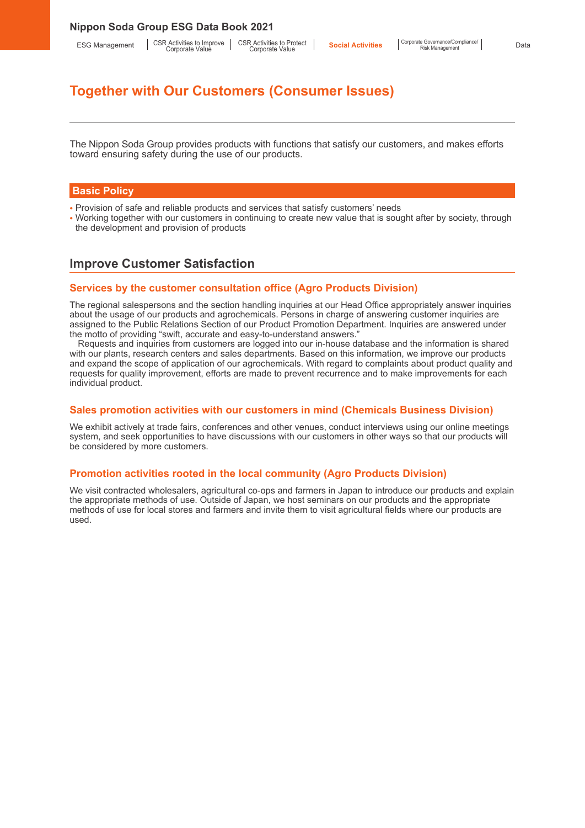# **Together with Our Customers (Consumer Issues)**

The Nippon Soda Group provides products with functions that satisfy our customers, and makes efforts toward ensuring safety during the use of our products.

#### **Basic Policy**

- Provision of safe and reliable products and services that satisfy customers' needs
- Working together with our customers in continuing to create new value that is sought after by society, through the development and provision of products

# **Improve Customer Satisfaction**

#### **Services by the customer consultation office (Agro Products Division)**

The regional salespersons and the section handling inquiries at our Head Office appropriately answer inquiries about the usage of our products and agrochemicals. Persons in charge of answering customer inquiries are assigned to the Public Relations Section of our Product Promotion Department. Inquiries are answered under the motto of providing "swift, accurate and easy-to-understand answers."

Requests and inquiries from customers are logged into our in-house database and the information is shared with our plants, research centers and sales departments. Based on this information, we improve our products and expand the scope of application of our agrochemicals. With regard to complaints about product quality and requests for quality improvement, efforts are made to prevent recurrence and to make improvements for each individual product.

#### **Sales promotion activities with our customers in mind (Chemicals Business Division)**

We exhibit actively at trade fairs, conferences and other venues, conduct interviews using our online meetings system, and seek opportunities to have discussions with our customers in other ways so that our products will be considered by more customers.

### **Promotion activities rooted in the local community (Agro Products Division)**

We visit contracted wholesalers, agricultural co-ops and farmers in Japan to introduce our products and explain the appropriate methods of use. Outside of Japan, we host seminars on our products and the appropriate methods of use for local stores and farmers and invite them to visit agricultural fields where our products are used.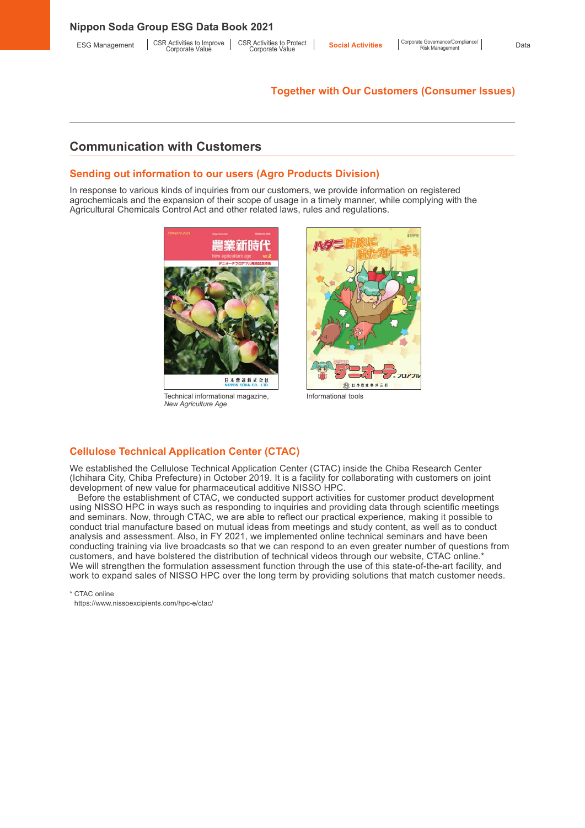### **Nippon Soda Group ESG Data Book 2021**

CSR Activities to Protect Corporate Value

### **Together with Our Customers (Consumer Issues)**

# **Communication with Customers**

### **Sending out information to our users (Agro Products Division)**

In response to various kinds of inquiries from our customers, we provide information on registered agrochemicals and the expansion of their scope of usage in a timely manner, while complying with the Agricultural Chemicals Control Act and other related laws, rules and regulations.



Technical informational magazine, *New Agriculture Age*



Informational tools

## **Cellulose Technical Application Center (CTAC)**

We established the Cellulose Technical Application Center (CTAC) inside the Chiba Research Center (Ichihara City, Chiba Prefecture) in October 2019. It is a facility for collaborating with customers on joint development of new value for pharmaceutical additive NISSO HPC.

Before the establishment of CTAC, we conducted support activities for customer product development using NISSO HPC in ways such as responding to inquiries and providing data through scientific meetings and seminars. Now, through CTAC, we are able to reflect our practical experience, making it possible to conduct trial manufacture based on mutual ideas from meetings and study content, as well as to conduct analysis and assessment. Also, in FY 2021, we implemented online technical seminars and have been conducting training via live broadcasts so that we can respond to an even greater number of questions from customers, and have bolstered the distribution of technical videos through our website, CTAC online.\* We will strengthen the formulation assessment function through the use of this state-of-the-art facility, and work to expand sales of NISSO HPC over the long term by providing solutions that match customer needs.

\* CTAC online

https://www.nissoexcipients.com/hpc-e/ctac/